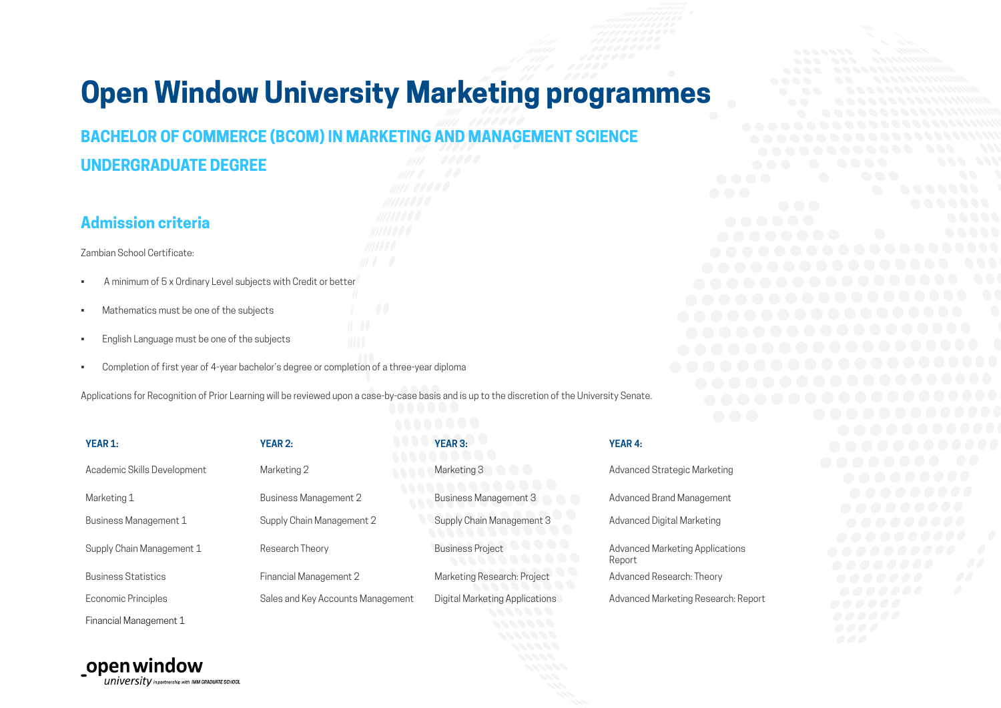# **Open Window University Marketing programmes**

# **BACHELOR OF COMMERCE (BCOM) IN MARKETING AND MANAGEMENT SCIENCE**

### **UNDERGRADUATE DEGREE**

#### **Admission criteria**

Zambian School Certificate:

- A minimum of 5 x Ordinary Level subjects with Credit or better
- Mathematics must be one of the subjects
- English Language must be one of the subjects
- Completion of first year of 4-year bachelor's degree or completion of a three-year diploma

Applications for Recognition of Prior Learning will be reviewed upon a case-by-case basis and is up to the discretion of the University Senate.

| <b>YEAR 1:</b>              | <b>YEAR 2:</b>                    | <b>YEAR 3:</b>                     | <b>YEAR 4:</b>    |
|-----------------------------|-----------------------------------|------------------------------------|-------------------|
| Academic Skills Development | Marketing 2                       | Marketing 3<br>$\Box$              | Advance           |
| Marketing 1                 | <b>Business Management 2</b>      | <b>Business Management 3</b>       | Advance           |
| Business Management 1       | Supply Chain Management 2         | Supply Chain Management 3          | Advance           |
| Supply Chain Management 1   | Research Theory                   | <b>Business Project</b><br><b></b> | Advance<br>Report |
| <b>Business Statistics</b>  | Financial Management 2            | Marketing Research: Project        | Advance           |
| Economic Principles         | Sales and Key Accounts Management | Digital Marketing Applications     | Advance           |
| Financial Management 1      |                                   | .                                  |                   |

## Advanced Strategic Marketing Advanced Brand Management Advanced Digital Marketing Advanced Marketing Applications Report Advanced Research: Theory Advanced Marketing Research: Report